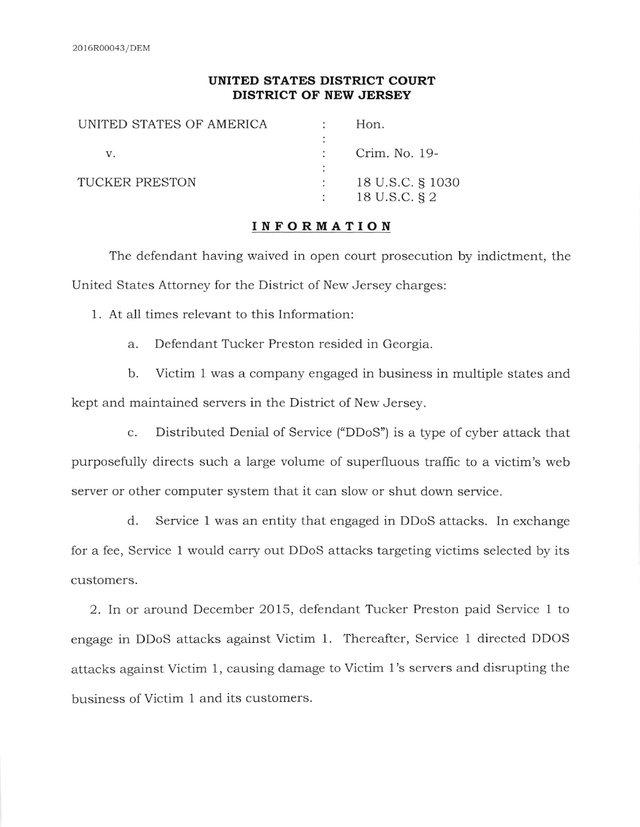#### UNITED STATES DISTRICT COURT DISTRICT OF NEW JERSEY

| UNITED STATES OF AMERICA | Hon.             |
|--------------------------|------------------|
|                          |                  |
| V.                       | Crim. No. 19-    |
|                          |                  |
| TUCKER PRESTON           | 18 U.S.C. § 1030 |
|                          | 18 U.S.C. § 2    |
|                          |                  |

#### INFORMATION

The defendant having waived in open court prosecution by indictment, the United States Attorney for the District of New Jersey charges:

1. At all times relevant to this Information:

a. Defendant Tucker Preston resided in Georgia.

b. Victim 1 was a company engaged in business in multiple states and kept and maintained servers in the District of New Jersey.

c. Distributed Denial of Service ("DDoS") is a type of cyber attack that purposefully directs such a large volume of superfluous traffic to a victim's web server or other computer system that it can slow or shut down service.

d. Service 1 was an entity that engaged in DDoS attacks. In exchange for a fee, Service 1 would carry out DDoS attacks targeting victims selected by its customers.

2. In or around December 2015, defendant Tucker Preston paid Service 1 to engage in DDoS attacks against Victim 1. Thereafter, Service 1 directed DDOS attacks against Victim 1, causing damage to Victim 1's servers and disrupting the business of Victim 1 and its customers.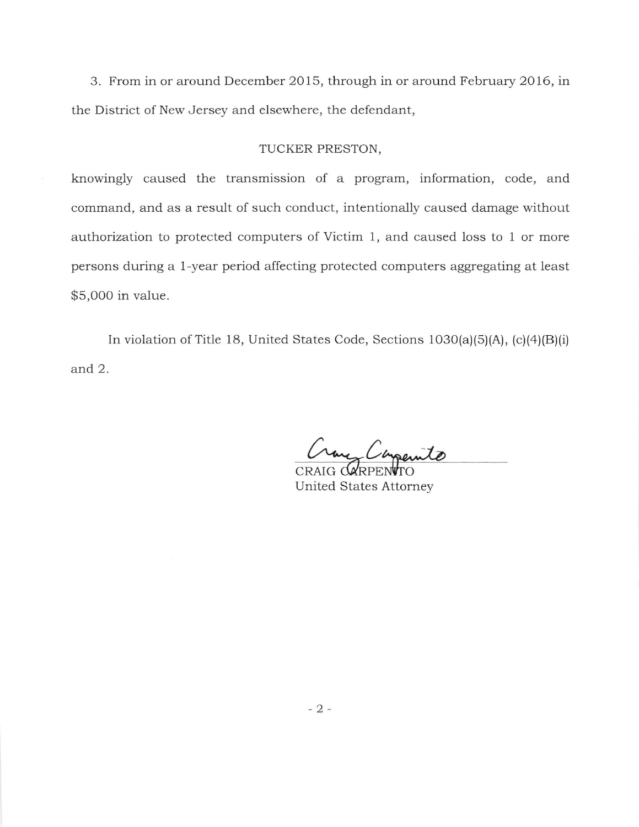3. From in or around December 2015, through in or around February 2016, in the District of New Jersey and elsewhere, the defendant,

### TUCKER PRESTON,

knowingly caused the transmission of a program, information, code, and command, and as a result of such conduct, intentionally caused damage without authorization to protected computers of Victim 1, and caused loss to 1 or more persons during a 1-year period affecting protected computers aggregating at least \$5,ooo in value.

In violation of Title 18, United States Code, Sections  $1030(a)(5)(A)$ ,  $(c)(4)(B)(i)$ and 2.

Crane Companito

CRAIG **darpentro** United States Attorney